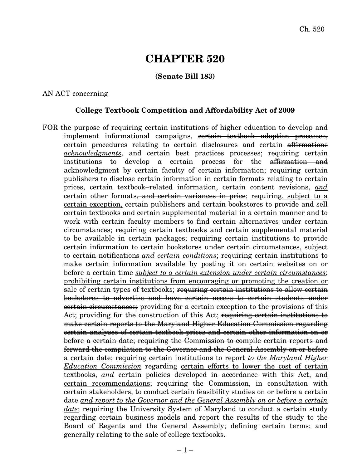# **CHAPTER 520**

# **(Senate Bill 183)**

#### AN ACT concerning

#### **College Textbook Competition and Affordability Act of 2009**

FOR the purpose of requiring certain institutions of higher education to develop and implement informational campaigns, cortain textbook adoption processes, certain procedures relating to certain disclosures and certain affirmations *acknowledgments*, and certain best practices processes; requiring certain institutions to develop a certain process for the affirmation and acknowledgment by certain faculty of certain information; requiring certain publishers to disclose certain information in certain formats relating to certain prices, certain textbook–related information, certain content revisions, *and* certain other formats, and certain variances in price; requiring, subject to a certain exception, certain publishers and certain bookstores to provide and sell certain textbooks and certain supplemental material in a certain manner and to work with certain faculty members to find certain alternatives under certain circumstances; requiring certain textbooks and certain supplemental material to be available in certain packages; requiring certain institutions to provide certain information to certain bookstores under certain circumstances, subject to certain notifications *and certain conditions*; requiring certain institutions to make certain information available by posting it on certain websites on or before a certain time *subject to a certain extension under certain circumstances*; prohibiting certain institutions from encouraging or promoting the creation or sale of certain types of textbooks; requiring certain institutions to allow certain bookstores to advertise and have certain access to certain students under **certain circumstances**; providing for a certain exception to the provisions of this Act; providing for the construction of this Act; requiring certain institutions to make certain reports to the Maryland Higher Education Commission regarding certain analyses of certain textbook prices and certain other information on or before a certain date; requiring the Commission to compile certain reports and forward the compilation to the Governor and the General Assembly on or before a certain date; requiring certain institutions to report *to the Maryland Higher Education Commission* regarding certain efforts to lower the cost of certain textbooks, *and* certain policies developed in accordance with this Act, and certain recommendations; requiring the Commission, in consultation with certain stakeholders, to conduct certain feasibility studies on or before a certain date *and report to the Governor and the General Assembly on or before a certain date*; requiring the University System of Maryland to conduct a certain study regarding certain business models and report the results of the study to the Board of Regents and the General Assembly; defining certain terms; and generally relating to the sale of college textbooks.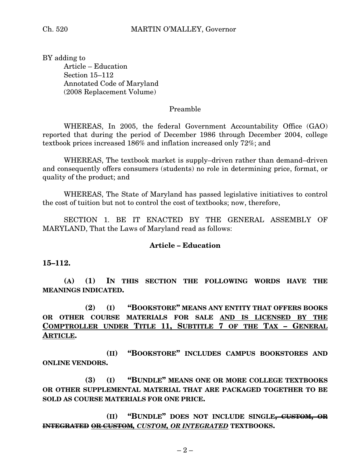BY adding to Article – Education Section 15–112 Annotated Code of Maryland (2008 Replacement Volume)

#### Preamble

WHEREAS, In 2005, the federal Government Accountability Office (GAO) reported that during the period of December 1986 through December 2004, college textbook prices increased 186% and inflation increased only 72%; and

WHEREAS, The textbook market is supply–driven rather than demand–driven and consequently offers consumers (students) no role in determining price, format, or quality of the product; and

WHEREAS, The State of Maryland has passed legislative initiatives to control the cost of tuition but not to control the cost of textbooks; now, therefore,

SECTION 1. BE IT ENACTED BY THE GENERAL ASSEMBLY OF MARYLAND, That the Laws of Maryland read as follows:

#### **Article – Education**

**15–112.**

**(A) (1) IN THIS SECTION THE FOLLOWING WORDS HAVE THE MEANINGS INDICATED.**

**(2) (I) "BOOKSTORE" MEANS ANY ENTITY THAT OFFERS BOOKS OR OTHER COURSE MATERIALS FOR SALE AND IS LICENSED BY THE COMPTROLLER UNDER TITLE 11, SUBTITLE 7 OF THE TAX – GENERAL ARTICLE.**

**(II) "BOOKSTORE" INCLUDES CAMPUS BOOKSTORES AND ONLINE VENDORS.**

**(3) (I) "BUNDLE" MEANS ONE OR MORE COLLEGE TEXTBOOKS OR OTHER SUPPLEMENTAL MATERIAL THAT ARE PACKAGED TOGETHER TO BE SOLD AS COURSE MATERIALS FOR ONE PRICE.**

**(II) "BUNDLE" DOES NOT INCLUDE SINGLE, CUSTOM, OR INTEGRATED OR CUSTOM***, CUSTOM, OR INTEGRATED* **TEXTBOOKS.**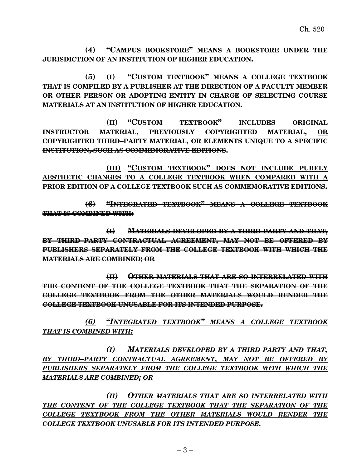**(4) "CAMPUS BOOKSTORE" MEANS A BOOKSTORE UNDER THE JURISDICTION OF AN INSTITUTION OF HIGHER EDUCATION.**

**(5) (I) "CUSTOM TEXTBOOK" MEANS A COLLEGE TEXTBOOK THAT IS COMPILED BY A PUBLISHER AT THE DIRECTION OF A FACULTY MEMBER OR OTHER PERSON OR ADOPTING ENTITY IN CHARGE OF SELECTING COURSE MATERIALS AT AN INSTITUTION OF HIGHER EDUCATION.**

**(II) "CUSTOM TEXTBOOK" INCLUDES ORIGINAL INSTRUCTOR MATERIAL, PREVIOUSLY COPYRIGHTED MATERIAL, OR COPYRIGHTED THIRD–PARTY MATERIAL, OR ELEMENTS UNIQUE TO A SPECIFIC INSTITUTION, SUCH AS COMMEMORATIVE EDITIONS.**

**(III) "CUSTOM TEXTBOOK" DOES NOT INCLUDE PURELY AESTHETIC CHANGES TO A COLLEGE TEXTBOOK WHEN COMPARED WITH A PRIOR EDITION OF A COLLEGE TEXTBOOK SUCH AS COMMEMORATIVE EDITIONS.**

**(6) "INTEGRATED TEXTBOOK" MEANS A COLLEGE TEXTBOOK THAT IS COMBINED WITH:**

**(I) MATERIALS DEVELOPED BY A THIRD PARTY AND THAT, BY THIRD–PARTY CONTRACTUAL AGREEMENT, MAY NOT BE OFFERED BY PUBLISHERS SEPARATELY FROM THE COLLEGE TEXTBOOK WITH WHICH THE MATERIALS ARE COMBINED; OR**

**(II) OTHER MATERIALS THAT ARE SO INTERRELATED WITH THE CONTENT OF THE COLLEGE TEXTBOOK THAT THE SEPARATION OF THE COLLEGE TEXTBOOK FROM THE OTHER MATERIALS WOULD RENDER THE COLLEGE TEXTBOOK UNUSABLE FOR ITS INTENDED PURPOSE.**

*(6)* **"***INTEGRATED TEXTBOOK" MEANS A COLLEGE TEXTBOOK THAT IS COMBINED WITH:*

*(I) MATERIALS DEVELOPED BY A THIRD PARTY AND THAT, BY THIRD–PARTY CONTRACTUAL AGREEMENT, MAY NOT BE OFFERED BY PUBLISHERS SEPARATELY FROM THE COLLEGE TEXTBOOK WITH WHICH THE MATERIALS ARE COMBINED; OR*

*(II) OTHER MATERIALS THAT ARE SO INTERRELATED WITH THE CONTENT OF THE COLLEGE TEXTBOOK THAT THE SEPARATION OF THE COLLEGE TEXTBOOK FROM THE OTHER MATERIALS WOULD RENDER THE COLLEGE TEXTBOOK UNUSABLE FOR ITS INTENDED PURPOSE.*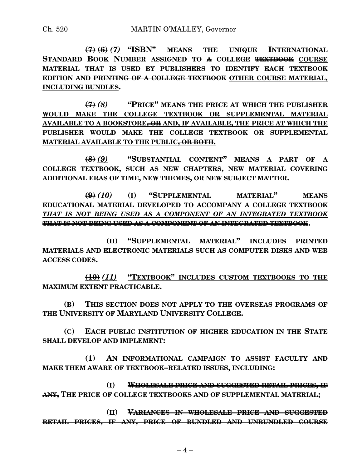**(7) (6)** *(7)* **"ISBN" MEANS THE UNIQUE INTERNATIONAL STANDARD BOOK NUMBER ASSIGNED TO A COLLEGE TEXTBOOK COURSE MATERIAL THAT IS USED BY PUBLISHERS TO IDENTIFY EACH TEXTBOOK EDITION AND PRINTING OF A COLLEGE TEXTBOOK OTHER COURSE MATERIAL, INCLUDING BUNDLES.**

**(7)** *(8)* **"PRICE" MEANS THE PRICE AT WHICH THE PUBLISHER WOULD MAKE THE COLLEGE TEXTBOOK OR SUPPLEMENTAL MATERIAL AVAILABLE TO A BOOKSTORE, OR AND, IF AVAILABLE, THE PRICE AT WHICH THE PUBLISHER WOULD MAKE THE COLLEGE TEXTBOOK OR SUPPLEMENTAL MATERIAL AVAILABLE TO THE PUBLIC, OR BOTH.**

**(8)** *(9)* **"SUBSTANTIAL CONTENT" MEANS A PART OF A COLLEGE TEXTBOOK, SUCH AS NEW CHAPTERS, NEW MATERIAL COVERING ADDITIONAL ERAS OF TIME, NEW THEMES, OR NEW SUBJECT MATTER.**

**(9)** *(10)* **(I) "SUPPLEMENTAL MATERIAL" MEANS EDUCATIONAL MATERIAL DEVELOPED TO ACCOMPANY A COLLEGE TEXTBOOK** *THAT IS NOT BEING USED AS A COMPONENT OF AN INTEGRATED TEXTBOOK* **THAT IS NOT BEING USED AS A COMPONENT OF AN INTEGRATED TEXTBOOK.**

**(II) "SUPPLEMENTAL MATERIAL" INCLUDES PRINTED MATERIALS AND ELECTRONIC MATERIALS SUCH AS COMPUTER DISKS AND WEB ACCESS CODES.**

**(10)** *(11)* **"TEXTBOOK" INCLUDES CUSTOM TEXTBOOKS TO THE MAXIMUM EXTENT PRACTICABLE.**

**(B) THIS SECTION DOES NOT APPLY TO THE OVERSEAS PROGRAMS OF THE UNIVERSITY OF MARYLAND UNIVERSITY COLLEGE.**

**(C) EACH PUBLIC INSTITUTION OF HIGHER EDUCATION IN THE STATE SHALL DEVELOP AND IMPLEMENT:**

**(1) AN INFORMATIONAL CAMPAIGN TO ASSIST FACULTY AND MAKE THEM AWARE OF TEXTBOOK–RELATED ISSUES, INCLUDING:**

**(I) WHOLESALE PRICE AND SUGGESTED RETAIL PRICES, IF ANY, THE PRICE OF COLLEGE TEXTBOOKS AND OF SUPPLEMENTAL MATERIAL;**

**(II) VARIANCES IN WHOLESALE PRICE AND SUGGESTED RETAIL PRICES, IF ANY, PRICE OF BUNDLED AND UNBUNDLED COURSE**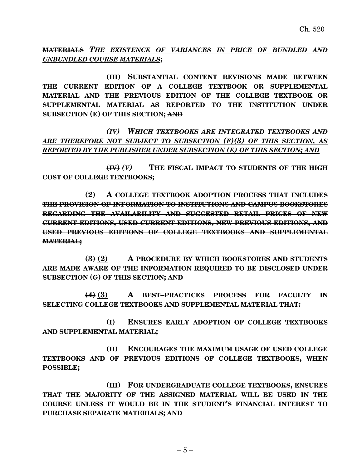**MATERIALS** *THE EXISTENCE OF VARIANCES IN PRICE OF BUNDLED AND UNBUNDLED COURSE MATERIALS***;**

**(III) SUBSTANTIAL CONTENT REVISIONS MADE BETWEEN THE CURRENT EDITION OF A COLLEGE TEXTBOOK OR SUPPLEMENTAL MATERIAL AND THE PREVIOUS EDITION OF THE COLLEGE TEXTBOOK OR SUPPLEMENTAL MATERIAL AS REPORTED TO THE INSTITUTION UNDER SUBSECTION (E) OF THIS SECTION; AND**

*(IV) WHICH TEXTBOOKS ARE INTEGRATED TEXTBOOKS AND ARE THEREFORE NOT SUBJECT TO SUBSECTION (F)(3) OF THIS SECTION, AS REPORTED BY THE PUBLISHER UNDER SUBSECTION (E) OF THIS SECTION; AND*

**(IV)** *(V)* **THE FISCAL IMPACT TO STUDENTS OF THE HIGH COST OF COLLEGE TEXTBOOKS;**

**(2) A COLLEGE TEXTBOOK ADOPTION PROCESS THAT INCLUDES THE PROVISION OF INFORMATION TO INSTITUTIONS AND CAMPUS BOOKSTORES REGARDING THE AVAILABILITY AND SUGGESTED RETAIL PRICES OF NEW CURRENT EDITIONS, USED CURRENT EDITIONS, NEW PREVIOUS EDITIONS, AND USED PREVIOUS EDITIONS OF COLLEGE TEXTBOOKS AND SUPPLEMENTAL MATERIAL;**

**(3) (2) A PROCEDURE BY WHICH BOOKSTORES AND STUDENTS ARE MADE AWARE OF THE INFORMATION REQUIRED TO BE DISCLOSED UNDER SUBSECTION (G) OF THIS SECTION; AND**

**(4) (3) A BEST–PRACTICES PROCESS FOR FACULTY IN SELECTING COLLEGE TEXTBOOKS AND SUPPLEMENTAL MATERIAL THAT:**

**(I) ENSURES EARLY ADOPTION OF COLLEGE TEXTBOOKS AND SUPPLEMENTAL MATERIAL;**

**(II) ENCOURAGES THE MAXIMUM USAGE OF USED COLLEGE TEXTBOOKS AND OF PREVIOUS EDITIONS OF COLLEGE TEXTBOOKS, WHEN POSSIBLE;**

**(III) FOR UNDERGRADUATE COLLEGE TEXTBOOKS, ENSURES THAT THE MAJORITY OF THE ASSIGNED MATERIAL WILL BE USED IN THE COURSE UNLESS IT WOULD BE IN THE STUDENT'S FINANCIAL INTEREST TO PURCHASE SEPARATE MATERIALS; AND**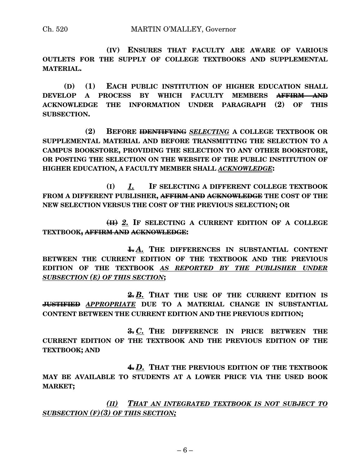**(IV) ENSURES THAT FACULTY ARE AWARE OF VARIOUS OUTLETS FOR THE SUPPLY OF COLLEGE TEXTBOOKS AND SUPPLEMENTAL MATERIAL.**

**(D) (1) EACH PUBLIC INSTITUTION OF HIGHER EDUCATION SHALL DEVELOP A PROCESS BY WHICH FACULTY MEMBERS AFFIRM AND ACKNOWLEDGE THE INFORMATION UNDER PARAGRAPH (2) OF THIS SUBSECTION.**

**(2) BEFORE IDENTIFYING** *SELECTING* **A COLLEGE TEXTBOOK OR SUPPLEMENTAL MATERIAL AND BEFORE TRANSMITTING THE SELECTION TO A CAMPUS BOOKSTORE, PROVIDING THE SELECTION TO ANY OTHER BOOKSTORE, OR POSTING THE SELECTION ON THE WEBSITE OF THE PUBLIC INSTITUTION OF HIGHER EDUCATION, A FACULTY MEMBER SHALL** *ACKNOWLEDGE***:**

**(I)** *1.* **IF SELECTING A DIFFERENT COLLEGE TEXTBOOK FROM A DIFFERENT PUBLISHER, AFFIRM AND ACKNOWLEDGE THE COST OF THE NEW SELECTION VERSUS THE COST OF THE PREVIOUS SELECTION; OR**

**(II)** *2.* **IF SELECTING A CURRENT EDITION OF A COLLEGE TEXTBOOK, AFFIRM AND ACKNOWLEDGE:**

**1.** *A.* **THE DIFFERENCES IN SUBSTANTIAL CONTENT BETWEEN THE CURRENT EDITION OF THE TEXTBOOK AND THE PREVIOUS EDITION OF THE TEXTBOOK** *AS REPORTED BY THE PUBLISHER UNDER SUBSECTION (E) OF THIS SECTION***;**

**2.** *B.* **THAT THE USE OF THE CURRENT EDITION IS JUSTIFIED** *APPROPRIATE* **DUE TO A MATERIAL CHANGE IN SUBSTANTIAL CONTENT BETWEEN THE CURRENT EDITION AND THE PREVIOUS EDITION;**

**3.** *C.* **THE DIFFERENCE IN PRICE BETWEEN THE CURRENT EDITION OF THE TEXTBOOK AND THE PREVIOUS EDITION OF THE TEXTBOOK; AND**

**4.** *D.* **THAT THE PREVIOUS EDITION OF THE TEXTBOOK MAY BE AVAILABLE TO STUDENTS AT A LOWER PRICE VIA THE USED BOOK MARKET;**

*(II) THAT AN INTEGRATED TEXTBOOK IS NOT SUBJECT TO SUBSECTION (F)(3) OF THIS SECTION;*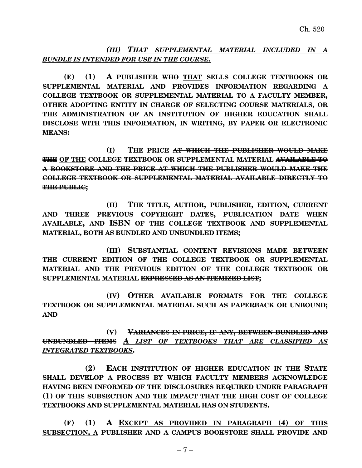*(III) THAT SUPPLEMENTAL MATERIAL INCLUDED IN A BUNDLE IS INTENDED FOR USE IN THE COURSE.*

**(E) (1) A PUBLISHER WHO THAT SELLS COLLEGE TEXTBOOKS OR SUPPLEMENTAL MATERIAL AND PROVIDES INFORMATION REGARDING A COLLEGE TEXTBOOK OR SUPPLEMENTAL MATERIAL TO A FACULTY MEMBER, OTHER ADOPTING ENTITY IN CHARGE OF SELECTING COURSE MATERIALS, OR THE ADMINISTRATION OF AN INSTITUTION OF HIGHER EDUCATION SHALL DISCLOSE WITH THIS INFORMATION, IN WRITING, BY PAPER OR ELECTRONIC MEANS:**

**(I) THE PRICE AT WHICH THE PUBLISHER WOULD MAKE THE OF THE COLLEGE TEXTBOOK OR SUPPLEMENTAL MATERIAL AVAILABLE TO A BOOKSTORE AND THE PRICE AT WHICH THE PUBLISHER WOULD MAKE THE COLLEGE TEXTBOOK OR SUPPLEMENTAL MATERIAL AVAILABLE DIRECTLY TO THE PUBLIC;**

**(II) THE TITLE, AUTHOR, PUBLISHER, EDITION, CURRENT AND THREE PREVIOUS COPYRIGHT DATES, PUBLICATION DATE WHEN AVAILABLE, AND ISBN OF THE COLLEGE TEXTBOOK AND SUPPLEMENTAL MATERIAL, BOTH AS BUNDLED AND UNBUNDLED ITEMS;**

**(III) SUBSTANTIAL CONTENT REVISIONS MADE BETWEEN THE CURRENT EDITION OF THE COLLEGE TEXTBOOK OR SUPPLEMENTAL MATERIAL AND THE PREVIOUS EDITION OF THE COLLEGE TEXTBOOK OR SUPPLEMENTAL MATERIAL EXPRESSED AS AN ITEMIZED LIST;**

**(IV) OTHER AVAILABLE FORMATS FOR THE COLLEGE TEXTBOOK OR SUPPLEMENTAL MATERIAL SUCH AS PAPERBACK OR UNBOUND; AND**

**(V) VARIANCES IN PRICE, IF ANY, BETWEEN BUNDLED AND UNBUNDLED ITEMS** *A LIST OF TEXTBOOKS THAT ARE CLASSIFIED AS INTEGRATED TEXTBOOKS***.**

**(2) EACH INSTITUTION OF HIGHER EDUCATION IN THE STATE SHALL DEVELOP A PROCESS BY WHICH FACULTY MEMBERS ACKNOWLEDGE HAVING BEEN INFORMED OF THE DISCLOSURES REQUIRED UNDER PARAGRAPH (1) OF THIS SUBSECTION AND THE IMPACT THAT THE HIGH COST OF COLLEGE TEXTBOOKS AND SUPPLEMENTAL MATERIAL HAS ON STUDENTS.**

**(F) (1) A EXCEPT AS PROVIDED IN PARAGRAPH (4) OF THIS SUBSECTION, A PUBLISHER AND A CAMPUS BOOKSTORE SHALL PROVIDE AND**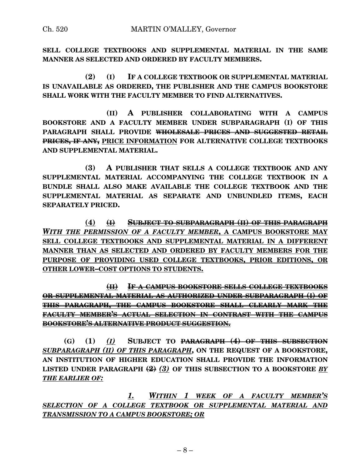**SELL COLLEGE TEXTBOOKS AND SUPPLEMENTAL MATERIAL IN THE SAME MANNER AS SELECTED AND ORDERED BY FACULTY MEMBERS.**

**(2) (I) IF A COLLEGE TEXTBOOK OR SUPPLEMENTAL MATERIAL IS UNAVAILABLE AS ORDERED, THE PUBLISHER AND THE CAMPUS BOOKSTORE SHALL WORK WITH THE FACULTY MEMBER TO FIND ALTERNATIVES.**

**(II) A PUBLISHER COLLABORATING WITH A CAMPUS BOOKSTORE AND A FACULTY MEMBER UNDER SUBPARAGRAPH (I) OF THIS PARAGRAPH SHALL PROVIDE WHOLESALE PRICES AND SUGGESTED RETAIL PRICES, IF ANY, PRICE INFORMATION FOR ALTERNATIVE COLLEGE TEXTBOOKS AND SUPPLEMENTAL MATERIAL.**

**(3) A PUBLISHER THAT SELLS A COLLEGE TEXTBOOK AND ANY SUPPLEMENTAL MATERIAL ACCOMPANYING THE COLLEGE TEXTBOOK IN A BUNDLE SHALL ALSO MAKE AVAILABLE THE COLLEGE TEXTBOOK AND THE SUPPLEMENTAL MATERIAL AS SEPARATE AND UNBUNDLED ITEMS, EACH SEPARATELY PRICED.**

**(4) (I) SUBJECT TO SUBPARAGRAPH (II) OF THIS PARAGRAPH** *WITH THE PERMISSION OF A FACULTY MEMBER***, A CAMPUS BOOKSTORE MAY SELL COLLEGE TEXTBOOKS AND SUPPLEMENTAL MATERIAL IN A DIFFERENT MANNER THAN AS SELECTED AND ORDERED BY FACULTY MEMBERS FOR THE PURPOSE OF PROVIDING USED COLLEGE TEXTBOOKS, PRIOR EDITIONS, OR OTHER LOWER–COST OPTIONS TO STUDENTS.**

**(II) IF A CAMPUS BOOKSTORE SELLS COLLEGE TEXTBOOKS OR SUPPLEMENTAL MATERIAL AS AUTHORIZED UNDER SUBPARAGRAPH (I) OF THIS PARAGRAPH, THE CAMPUS BOOKSTORE SHALL CLEARLY MARK THE FACULTY MEMBER'S ACTUAL SELECTION IN CONTRAST WITH THE CAMPUS BOOKSTORE'S ALTERNATIVE PRODUCT SUGGESTION.**

**(G) (1)** *(I)* **SUBJECT TO PARAGRAPH (4) OF THIS SUBSECTION** *SUBPARAGRAPH (II) OF THIS PARAGRAPH***, ON THE REQUEST OF A BOOKSTORE, AN INSTITUTION OF HIGHER EDUCATION SHALL PROVIDE THE INFORMATION LISTED UNDER PARAGRAPH (2)** *(3)* **OF THIS SUBSECTION TO A BOOKSTORE** *BY THE EARLIER OF:*

*1. WITHIN 1 WEEK OF A FACULTY MEMBER'S SELECTION OF A COLLEGE TEXTBOOK OR SUPPLEMENTAL MATERIAL AND TRANSMISSION TO A CAMPUS BOOKSTORE; OR*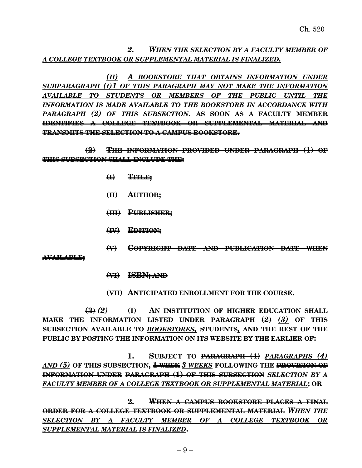*2. WHEN THE SELECTION BY A FACULTY MEMBER OF A COLLEGE TEXTBOOK OR SUPPLEMENTAL MATERIAL IS FINALIZED.*

*(II) A BOOKSTORE THAT OBTAINS INFORMATION UNDER SUBPARAGRAPH (I)1 OF THIS PARAGRAPH MAY NOT MAKE THE INFORMATION AVAILABLE TO STUDENTS OR MEMBERS OF THE PUBLIC UNTIL THE INFORMATION IS MADE AVAILABLE TO THE BOOKSTORE IN ACCORDANCE WITH PARAGRAPH (2) OF THIS SUBSECTION.* **AS SOON AS A FACULTY MEMBER IDENTIFIES A COLLEGE TEXTBOOK OR SUPPLEMENTAL MATERIAL AND TRANSMITS THE SELECTION TO A CAMPUS BOOKSTORE.**

**(2) THE INFORMATION PROVIDED UNDER PARAGRAPH (1) OF THIS SUBSECTION SHALL INCLUDE THE:**

- **(I) TITLE;**
- **(II) AUTHOR;**
- **(III) PUBLISHER;**
- **(IV) EDITION;**
- **(V) COPYRIGHT DATE AND PUBLICATION DATE WHEN**

**AVAILABLE;**

**(VI) ISBN; AND**

#### **(VII) ANTICIPATED ENROLLMENT FOR THE COURSE.**

**(3)** *(2)* **(I) AN INSTITUTION OF HIGHER EDUCATION SHALL MAKE THE INFORMATION LISTED UNDER PARAGRAPH (2)** *(3)* **OF THIS SUBSECTION AVAILABLE TO** *BOOKSTORES,* **STUDENTS***,* **AND THE REST OF THE PUBLIC BY POSTING THE INFORMATION ON ITS WEBSITE BY THE EARLIER OF:**

**1. SUBJECT TO PARAGRAPH (4)** *PARAGRAPHS (4) AND (5)* **OF THIS SUBSECTION, 1 WEEK** *3 WEEKS* **FOLLOWING THE PROVISION OF INFORMATION UNDER PARAGRAPH (1) OF THIS SUBSECTION** *SELECTION BY A FACULTY MEMBER OF A COLLEGE TEXTBOOK OR SUPPLEMENTAL MATERIAL***; OR**

**2. WHEN A CAMPUS BOOKSTORE PLACES A FINAL ORDER FOR A COLLEGE TEXTBOOK OR SUPPLEMENTAL MATERIAL** *WHEN THE SELECTION BY A FACULTY MEMBER OF A COLLEGE TEXTBOOK OR SUPPLEMENTAL MATERIAL IS FINALIZED***.**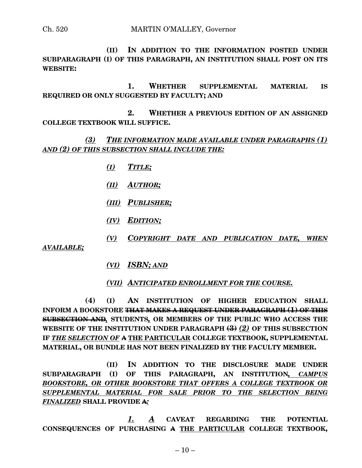**(II) IN ADDITION TO THE INFORMATION POSTED UNDER SUBPARAGRAPH (I) OF THIS PARAGRAPH, AN INSTITUTION SHALL POST ON ITS WEBSITE:**

**1. WHETHER SUPPLEMENTAL MATERIAL IS REQUIRED OR ONLY SUGGESTED BY FACULTY; AND**

**2. WHETHER A PREVIOUS EDITION OF AN ASSIGNED COLLEGE TEXTBOOK WILL SUFFICE.**

*(3) THE INFORMATION MADE AVAILABLE UNDER PARAGRAPHS (1) AND (2) OF THIS SUBSECTION SHALL INCLUDE THE:*

- *(I) TITLE;*
- *(II) AUTHOR;*
- *(III) PUBLISHER;*
- *(IV) EDITION;*
- *(V) COPYRIGHT DATE AND PUBLICATION DATE, WHEN*

*AVAILABLE;*

*(VI) ISBN; AND*

*(VII) ANTICIPATED ENROLLMENT FOR THE COURSE.*

**(4) (I) AN INSTITUTION OF HIGHER EDUCATION SHALL INFORM A BOOKSTORE THAT MAKES A REQUEST UNDER PARAGRAPH (1) OF THIS SUBSECTION AND***,* **STUDENTS***,* **OR MEMBERS OF THE PUBLIC WHO ACCESS THE WEBSITE OF THE INSTITUTION UNDER PARAGRAPH (3)** *(2)* **OF THIS SUBSECTION IF** *THE SELECTION OF* **A THE PARTICULAR COLLEGE TEXTBOOK, SUPPLEMENTAL MATERIAL, OR BUNDLE HAS NOT BEEN FINALIZED BY THE FACULTY MEMBER.**

**(II) IN ADDITION TO THE DISCLOSURE MADE UNDER SUBPARAGRAPH (I) OF THIS PARAGRAPH, AN INSTITUTION***, CAMPUS BOOKSTORE, OR OTHER BOOKSTORE THAT OFFERS A COLLEGE TEXTBOOK OR SUPPLEMENTAL MATERIAL FOR SALE PRIOR TO THE SELECTION BEING FINALIZED* **SHALL PROVIDE A***:*

*1. A* **CAVEAT REGARDING THE POTENTIAL CONSEQUENCES OF PURCHASING A THE PARTICULAR COLLEGE TEXTBOOK,**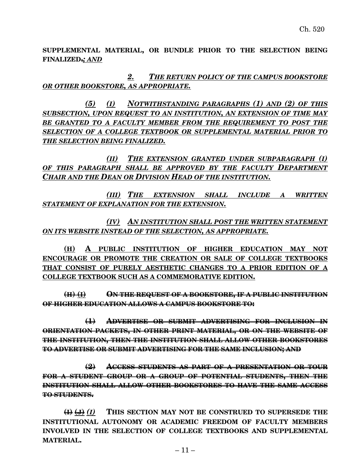**SUPPLEMENTAL MATERIAL, OR BUNDLE PRIOR TO THE SELECTION BEING FINALIZED.***; AND*

*2. THE RETURN POLICY OF THE CAMPUS BOOKSTORE OR OTHER BOOKSTORE, AS APPROPRIATE.*

*(5) (I) NOTWITHSTANDING PARAGRAPHS (1) AND (2) OF THIS SUBSECTION, UPON REQUEST TO AN INSTITUTION, AN EXTENSION OF TIME MAY BE GRANTED TO A FACULTY MEMBER FROM THE REQUIREMENT TO POST THE SELECTION OF A COLLEGE TEXTBOOK OR SUPPLEMENTAL MATERIAL PRIOR TO THE SELECTION BEING FINALIZED.*

*(II) THE EXTENSION GRANTED UNDER SUBPARAGRAPH (I) OF THIS PARAGRAPH SHALL BE APPROVED BY THE FACULTY DEPARTMENT CHAIR AND THE DEAN OR DIVISION HEAD OF THE INSTITUTION.*

*(III) THE EXTENSION SHALL INCLUDE A WRITTEN STATEMENT OF EXPLANATION FOR THE EXTENSION.*

*(IV) AN INSTITUTION SHALL POST THE WRITTEN STATEMENT ON ITS WEBSITE INSTEAD OF THE SELECTION, AS APPROPRIATE.*

**(H) A PUBLIC INSTITUTION OF HIGHER EDUCATION MAY NOT ENCOURAGE OR PROMOTE THE CREATION OR SALE OF COLLEGE TEXTBOOKS THAT CONSIST OF PURELY AESTHETIC CHANGES TO A PRIOR EDITION OF A COLLEGE TEXTBOOK SUCH AS A COMMEMORATIVE EDITION.**

**(H) (I) ON THE REQUEST OF A BOOKSTORE, IF A PUBLIC INSTITUTION OF HIGHER EDUCATION ALLOWS A CAMPUS BOOKSTORE TO:**

**(1) ADVERTISE OR SUBMIT ADVERTISING FOR INCLUSION IN ORIENTATION PACKETS, IN OTHER PRINT MATERIAL, OR ON THE WEBSITE OF THE INSTITUTION, THEN THE INSTITUTION SHALL ALLOW OTHER BOOKSTORES TO ADVERTISE OR SUBMIT ADVERTISING FOR THE SAME INCLUSION; AND**

**(2) ACCESS STUDENTS AS PART OF A PRESENTATION OR TOUR FOR A STUDENT GROUP OR A GROUP OF POTENTIAL STUDENTS, THEN THE INSTITUTION SHALL ALLOW OTHER BOOKSTORES TO HAVE THE SAME ACCESS TO STUDENTS.**

**(I) (J)** *(I)* **THIS SECTION MAY NOT BE CONSTRUED TO SUPERSEDE THE INSTITUTIONAL AUTONOMY OR ACADEMIC FREEDOM OF FACULTY MEMBERS INVOLVED IN THE SELECTION OF COLLEGE TEXTBOOKS AND SUPPLEMENTAL MATERIAL.**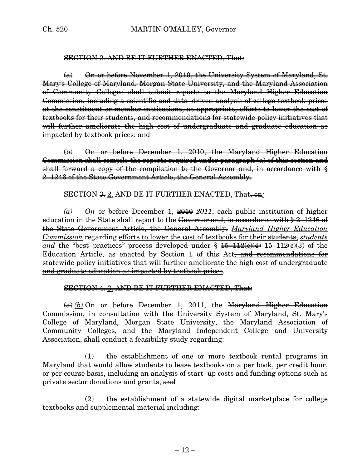#### SECTION 2. AND BE IT FURTHER ENACTED, That:

(a) On or before November 1, 2010, the University System of Maryland, St. Mary's College of Maryland, Morgan State University, and the Maryland Association of Community Colleges shall submit reports to the Maryland Higher Education Commission, including a scientific and data–driven analysis of college textbook prices at the constituent or member institutions, as appropriate, efforts to lower the cost of textbooks for their students, and recommendations for statewide policy initiatives that will further ameliorate the high cost of undergraduate and graduate education as impacted by textbook prices; and

(b) On or before December 1, 2010, the Maryland Higher Education Commission shall compile the reports required under paragraph (a) of this section and shall forward a copy of the compilation to the Governor and, in accordance with  $\frac{8}{3}$ 2–1246 of the State Government Article, the General Assembly.

# SECTION <del>3.</del> 2. AND BE IT FURTHER ENACTED, That, on.

*(a) On* or before December 1, 2010 *2011*, each public institution of higher education in the State shall report to the Governor and, in accordance with § 2–1246 of the State Government Article, the General Assembly, *Maryland Higher Education Commission* regarding efforts to lower the cost of textbooks for their students, *students and* the "best-practices" process developed under  $\frac{15-112(e)(4)}{15-112(e)(3)}$  of the Education Article, as enacted by Section 1 of this Act<del>, and recommendations for</del> statewide policy initiatives that will further ameliorate the high cost of undergraduate and graduate education as impacted by textbook prices.

# SECTION 4. 3. AND BE IT FURTHER ENACTED, That:

 $(a)$  *(b)* On or before December 1, 2011, the Maryland Higher Education Commission, in consultation with the University System of Maryland, St. Mary's College of Maryland, Morgan State University, the Maryland Association of Community Colleges, and the Maryland Independent College and University Association, shall conduct a feasibility study regarding:

(1) the establishment of one or more textbook rental programs in Maryland that would allow students to lease textbooks on a per book, per credit hour, or per course basis, including an analysis of start–up costs and funding options such as private sector donations and grants; and

(2) the establishment of a statewide digital marketplace for college textbooks and supplemental material including: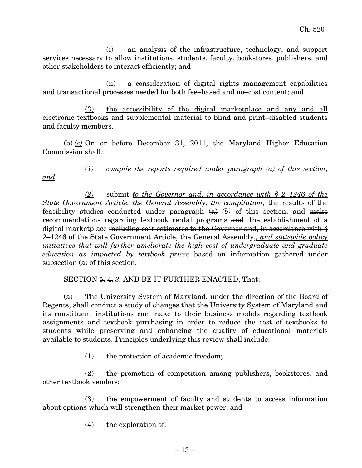(i) an analysis of the infrastructure, technology, and support services necessary to allow institutions, students, faculty, bookstores, publishers, and other stakeholders to interact efficiently; and

(ii) a consideration of digital rights management capabilities and transactional processes needed for both fee–based and no–cost content; and

(3) the accessibility of the digital marketplace and any and all electronic textbooks and supplemental material to blind and print–disabled students and faculty members.

 $\overline{(b)}$  *(c)* On or before December 31, 2011, the Maryland Higher Education Commission shall*:*

*and*

# *(1) compile the reports required under paragraph (a) of this section;*

*(2)* submit *to the Governor and, in accordance with § 2–1246 of the State Government Article, the General Assembly, the compilation,* the results of the feasibility studies conducted under paragraph  $(a)$  *(b)* of this section, and make recommendations regarding textbook rental programs and*,* the establishment of a digital marketplace including cost estimates to the Governor and, in accordance with  $\frac{1}{2}$ 2–1246 of the State Government Article, the General Assembly,*, and statewide policy initiatives that will further ameliorate the high cost of undergraduate and graduate education as impacted by textbook prices* based on information gathered under subsection  $(a)$  of this section.

# SECTION  $\frac{5}{2}$ ,  $\frac{4}{3}$ . AND BE IT FURTHER ENACTED, That:

(a) The University System of Maryland, under the direction of the Board of Regents, shall conduct a study of changes that the University System of Maryland and its constituent institutions can make to their business models regarding textbook assignments and textbook purchasing in order to reduce the cost of textbooks to students while preserving and enhancing the quality of educational materials available to students. Principles underlying this review shall include:

(1) the protection of academic freedom;

(2) the promotion of competition among publishers, bookstores, and other textbook vendors;

(3) the empowerment of faculty and students to access information about options which will strengthen their market power; and

(4) the exploration of: